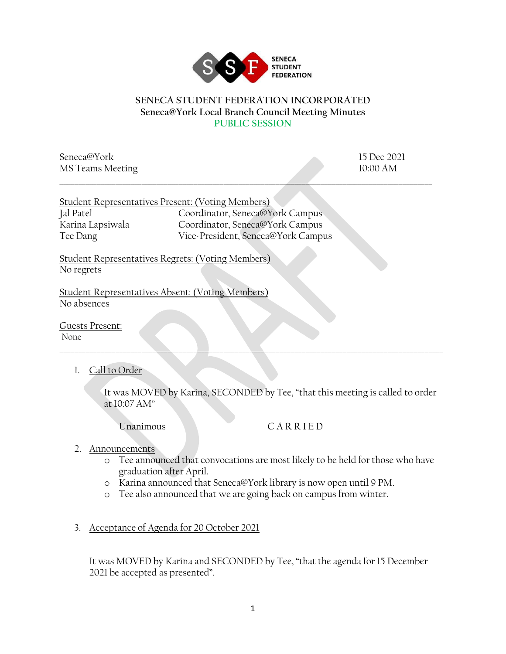

## **SENECA STUDENT FEDERATION INCORPORATED Seneca@York Local Branch Council Meeting Minutes PUBLIC SESSION**

\_\_\_\_\_\_\_\_\_\_\_\_\_\_\_\_\_\_\_\_\_\_\_\_\_\_\_\_\_\_\_\_\_\_\_\_\_\_\_\_\_\_\_\_\_\_\_\_\_\_\_\_\_\_\_\_\_\_\_\_\_\_\_\_\_\_\_\_\_\_\_\_\_\_\_\_\_\_\_\_\_\_\_\_\_\_\_\_\_\_\_\_\_\_\_\_\_\_\_\_

Seneca@York 15 Dec 2021 MS Teams Meeting 10:00 AM

|                  | Student Representatives Present: (Voting Members) |
|------------------|---------------------------------------------------|
| Jal Patel        | Coordinator, Seneca@York Campus                   |
| Karina Lapsiwala | Coordinator, Seneca@York Campus                   |
| Tee Dang         | Vice-President, Seneca@York Campus                |

Student Representatives Regrets: (Voting Members) No regrets

Student Representatives Absent: (Voting Members) No absences

Guests Present: None

1. Call to Order

It was MOVED by Karina, SECONDED by Tee, "that this meeting is called to order at 10:07 AM"

Unanimous C A R R I E D

- 2. Announcements
	- o Tee announced that convocations are most likely to be held for those who have graduation after April.
	- o Karina announced that Seneca@York library is now open until 9 PM.

\_\_\_\_\_\_\_\_\_\_\_\_\_\_\_\_\_\_\_\_\_\_\_\_\_\_\_\_\_\_\_\_\_\_\_\_\_\_\_\_\_\_\_\_\_\_\_\_\_\_\_\_\_\_\_\_\_\_\_\_\_\_\_\_\_\_\_\_\_\_\_\_\_\_\_\_\_\_\_\_\_\_\_\_\_\_\_\_\_\_\_\_\_\_\_\_\_\_\_\_\_\_\_

- o Tee also announced that we are going back on campus from winter.
- 3. Acceptance of Agenda for 20 October 2021

It was MOVED by Karina and SECONDED by Tee, "that the agenda for 15 December 2021 be accepted as presented".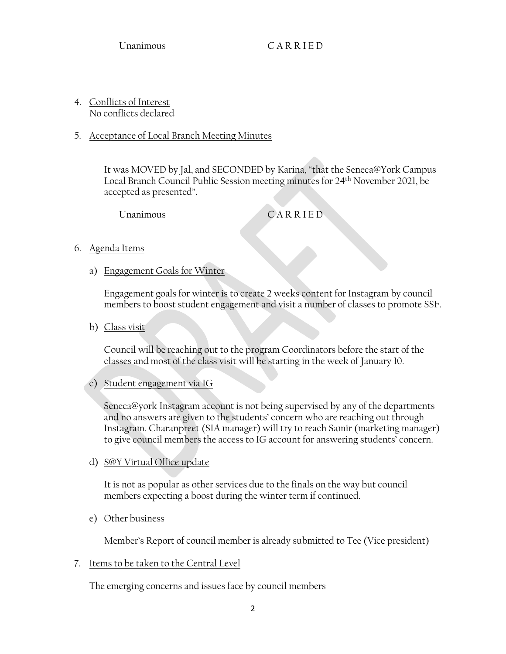4. Conflicts of Interest No conflicts declared

## 5. Acceptance of Local Branch Meeting Minutes

It was MOVED by Jal, and SECONDED by Karina, "that the Seneca@York Campus Local Branch Council Public Session meeting minutes for 24th November 2021, be accepted as presented".

Unanimous CARRIED

- 6. Agenda Items
	- a) Engagement Goals for Winter

Engagement goals for winter is to create 2 weeks content for Instagram by council members to boost student engagement and visit a number of classes to promote SSF.

b) Class visit

Council will be reaching out to the program Coordinators before the start of the classes and most of the class visit will be starting in the week of January 10.

c) Student engagement via IG

 Seneca@york Instagram account is not being supervised by any of the departments and no answers are given to the students' concern who are reaching out through Instagram. Charanpreet (SIA manager) will try to reach Samir (marketing manager) to give council members the access to IG account for answering students' concern.

d) S@Y Virtual Office update

It is not as popular as other services due to the finals on the way but council members expecting a boost during the winter term if continued.

e) Other business

Member's Report of council member is already submitted to Tee (Vice president)

## 7. Items to be taken to the Central Level

The emerging concerns and issues face by council members